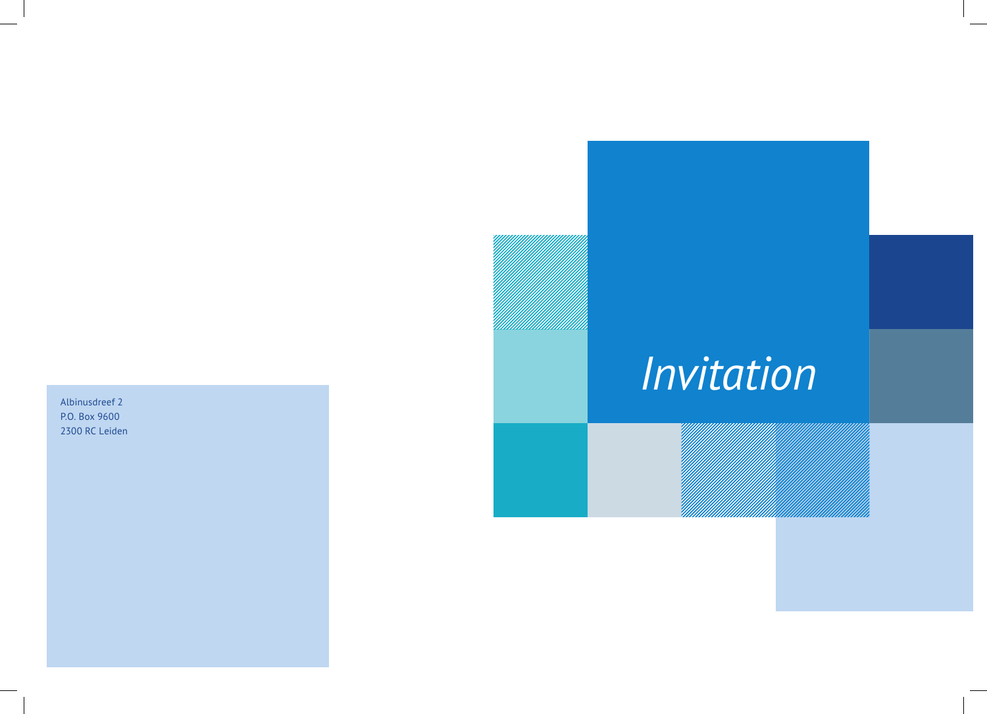Albinusdreef 2 P.O. Box 9600 2300 RC Leiden

# *Invitation*